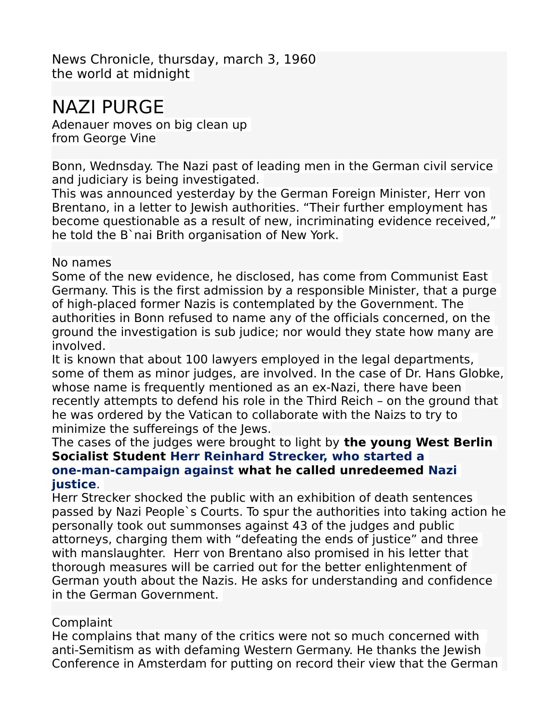News Chronicle, thursday, march 3, 1960 the world at midnight

## NAZI PURGE

Adenauer moves on big clean up from George Vine

Bonn, Wednsday. The Nazi past of leading men in the German civil service and judiciary is being investigated.

This was announced yesterday by the German Foreign Minister, Herr von Brentano, in a letter to Jewish authorities. "Their further employment has become questionable as a result of new, incriminating evidence received," he told the B`nai Brith organisation of New York.

## No names

Some of the new evidence, he disclosed, has come from Communist East Germany. This is the first admission by a responsible Minister, that a purge of high-placed former Nazis is contemplated by the Government. The authorities in Bonn refused to name any of the officials concerned, on the ground the investigation is sub judice; nor would they state how many are involved.

It is known that about 100 lawyers employed in the legal departments, some of them as minor judges, are involved. In the case of Dr. Hans Globke, whose name is frequently mentioned as an ex-Nazi, there have been recently attempts to defend his role in the Third Reich – on the ground that he was ordered by the Vatican to collaborate with the Naizs to try to minimize the suffereings of the Jews.

## The cases of the judges were brought to light by **the young West Berlin Socialist Student Herr Reinhard Strecker, who started a one-man-campaign against what he called unredeemed Nazi justice**.

Herr Strecker shocked the public with an exhibition of death sentences passed by Nazi People`s Courts. To spur the authorities into taking action he personally took out summonses against 43 of the judges and public attorneys, charging them with "defeating the ends of justice" and three with manslaughter. Herr von Brentano also promised in his letter that thorough measures will be carried out for the better enlightenment of German youth about the Nazis. He asks for understanding and confidence in the German Government.

## Complaint

He complains that many of the critics were not so much concerned with anti-Semitism as with defaming Western Germany. He thanks the Jewish Conference in Amsterdam for putting on record their view that the German